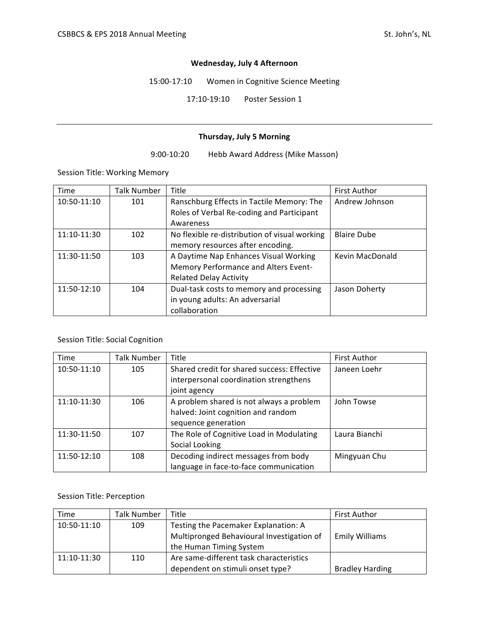#### **Wednesday, July 4 Afternoon**

15:00-17:10 Women in Cognitive Science Meeting

17:10-19:10 Poster Session 1

#### **Thursday, July 5 Morning**

9:00-10:20 Hebb Award Address (Mike Masson)

Session Title: Working Memory

| Time        | Talk Number | Title                                         | <b>First Author</b> |
|-------------|-------------|-----------------------------------------------|---------------------|
| 10:50-11:10 | 101         | Ranschburg Effects in Tactile Memory: The     | Andrew Johnson      |
|             |             | Roles of Verbal Re-coding and Participant     |                     |
|             |             | Awareness                                     |                     |
| 11:10-11:30 | 102         | No flexible re-distribution of visual working | <b>Blaire Dube</b>  |
|             |             | memory resources after encoding.              |                     |
| 11:30-11:50 | 103         | A Daytime Nap Enhances Visual Working         | Kevin MacDonald     |
|             |             | Memory Performance and Alters Event-          |                     |
|             |             | <b>Related Delay Activity</b>                 |                     |
| 11:50-12:10 | 104         | Dual-task costs to memory and processing      | Jason Doherty       |
|             |             | in young adults: An adversarial               |                     |
|             |             | collaboration                                 |                     |

# Session Title: Social Cognition

| Time        | Talk Number | Title                                                                                                 | <b>First Author</b> |
|-------------|-------------|-------------------------------------------------------------------------------------------------------|---------------------|
| 10:50-11:10 | 105         | Shared credit for shared success: Effective<br>interpersonal coordination strengthens<br>joint agency | Janeen Loehr        |
| 11:10-11:30 | 106         | A problem shared is not always a problem<br>halved: Joint cognition and random<br>sequence generation | John Towse          |
| 11:30-11:50 | 107         | The Role of Cognitive Load in Modulating<br>Social Looking                                            | Laura Bianchi       |
| 11:50-12:10 | 108         | Decoding indirect messages from body<br>language in face-to-face communication                        | Mingyuan Chu        |

# Session Title: Perception

| Time        | <b>Talk Number</b> | Title                                     | <b>First Author</b>    |
|-------------|--------------------|-------------------------------------------|------------------------|
| 10:50-11:10 | 109                | Testing the Pacemaker Explanation: A      |                        |
|             |                    | Multipronged Behavioural Investigation of | <b>Emily Williams</b>  |
|             |                    | the Human Timing System                   |                        |
| 11:10-11:30 | 110                | Are same-different task characteristics   |                        |
|             |                    | dependent on stimuli onset type?          | <b>Bradley Harding</b> |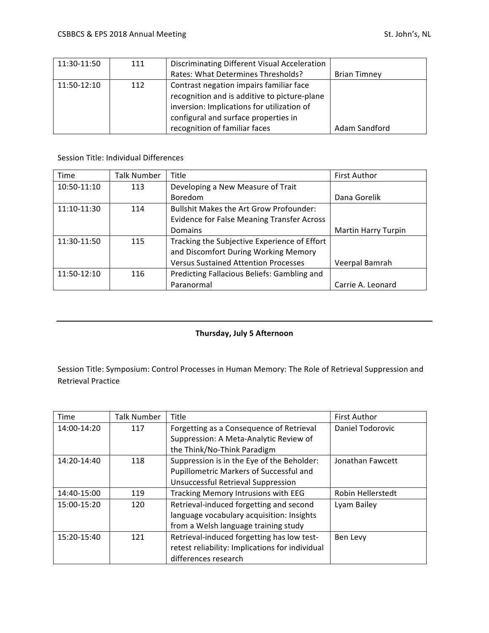| 11:30-11:50 | 111 | Discriminating Different Visual Acceleration |                     |
|-------------|-----|----------------------------------------------|---------------------|
|             |     | Rates: What Determines Thresholds?           | <b>Brian Timney</b> |
| 11:50-12:10 | 112 | Contrast negation impairs familiar face      |                     |
|             |     | recognition and is additive to picture-plane |                     |
|             |     | inversion: Implications for utilization of   |                     |
|             |     | configural and surface properties in         |                     |
|             |     | recognition of familiar faces                | Adam Sandford       |

#### Session Title: Individual Differences

| Time        | Talk Number | Title                                             | <b>First Author</b>        |
|-------------|-------------|---------------------------------------------------|----------------------------|
| 10:50-11:10 | 113         | Developing a New Measure of Trait                 |                            |
|             |             | <b>Boredom</b>                                    | Dana Gorelik               |
| 11:10-11:30 | 114         | <b>Bullshit Makes the Art Grow Profounder:</b>    |                            |
|             |             | <b>Evidence for False Meaning Transfer Across</b> |                            |
|             |             | <b>Domains</b>                                    | <b>Martin Harry Turpin</b> |
| 11:30-11:50 | 115         | Tracking the Subjective Experience of Effort      |                            |
|             |             | and Discomfort During Working Memory              |                            |
|             |             | <b>Versus Sustained Attention Processes</b>       | Veerpal Bamrah             |
| 11:50-12:10 | 116         | Predicting Fallacious Beliefs: Gambling and       |                            |
|             |             | Paranormal                                        | Carrie A. Leonard          |

## **Thursday, July 5 Afternoon**

Session Title: Symposium: Control Processes in Human Memory: The Role of Retrieval Suppression and Retrieval Practice

| Time        | <b>Talk Number</b> | Title                                           | <b>First Author</b> |
|-------------|--------------------|-------------------------------------------------|---------------------|
| 14:00-14:20 | 117                | Forgetting as a Consequence of Retrieval        | Daniel Todorovic    |
|             |                    | Suppression: A Meta-Analytic Review of          |                     |
|             |                    | the Think/No-Think Paradigm                     |                     |
| 14:20-14:40 | 118                | Suppression is in the Eye of the Beholder:      | Jonathan Fawcett    |
|             |                    | Pupillometric Markers of Successful and         |                     |
|             |                    | Unsuccessful Retrieval Suppression              |                     |
| 14:40-15:00 | 119                | Tracking Memory Intrusions with EEG             | Robin Hellerstedt   |
| 15:00-15:20 | 120                | Retrieval-induced forgetting and second         | Lyam Bailey         |
|             |                    | language vocabulary acquisition: Insights       |                     |
|             |                    | from a Welsh language training study            |                     |
| 15:20-15:40 | 121                | Retrieval-induced forgetting has low test-      | Ben Levy            |
|             |                    | retest reliability: Implications for individual |                     |
|             |                    | differences research                            |                     |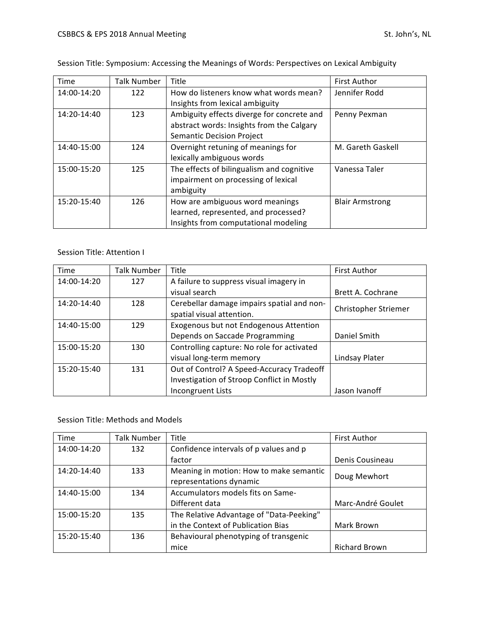| Time        | Talk Number | Title                                      | <b>First Author</b>    |
|-------------|-------------|--------------------------------------------|------------------------|
| 14:00-14:20 | 122         | How do listeners know what words mean?     | Jennifer Rodd          |
|             |             | Insights from lexical ambiguity            |                        |
| 14:20-14:40 | 123         | Ambiguity effects diverge for concrete and | Penny Pexman           |
|             |             | abstract words: Insights from the Calgary  |                        |
|             |             | Semantic Decision Project                  |                        |
| 14:40-15:00 | 124         | Overnight retuning of meanings for         | M. Gareth Gaskell      |
|             |             | lexically ambiguous words                  |                        |
| 15:00-15:20 | 125         | The effects of bilingualism and cognitive  | Vanessa Taler          |
|             |             | impairment on processing of lexical        |                        |
|             |             | ambiguity                                  |                        |
| 15:20-15:40 | 126         | How are ambiguous word meanings            | <b>Blair Armstrong</b> |
|             |             | learned, represented, and processed?       |                        |
|             |             | Insights from computational modeling       |                        |

Session Title: Symposium: Accessing the Meanings of Words: Perspectives on Lexical Ambiguity

## Session Title: Attention I

| Time        | Talk Number | Title                                      | <b>First Author</b>  |
|-------------|-------------|--------------------------------------------|----------------------|
| 14:00-14:20 | 127         | A failure to suppress visual imagery in    |                      |
|             |             | visual search                              | Brett A. Cochrane    |
| 14:20-14:40 | 128         | Cerebellar damage impairs spatial and non- | Christopher Striemer |
|             |             | spatial visual attention.                  |                      |
| 14:40-15:00 | 129         | Exogenous but not Endogenous Attention     |                      |
|             |             | Depends on Saccade Programming             | Daniel Smith         |
| 15:00-15:20 | 130         | Controlling capture: No role for activated |                      |
|             |             | visual long-term memory                    | Lindsay Plater       |
| 15:20-15:40 | 131         | Out of Control? A Speed-Accuracy Tradeoff  |                      |
|             |             | Investigation of Stroop Conflict in Mostly |                      |
|             |             | <b>Incongruent Lists</b>                   | Jason Ivanoff        |

### Session Title: Methods and Models

| Time        | Talk Number | Title                                    | <b>First Author</b>  |
|-------------|-------------|------------------------------------------|----------------------|
| 14:00-14:20 | 132         | Confidence intervals of p values and p   |                      |
|             |             | factor                                   | Denis Cousineau      |
| 14:20-14:40 | 133         | Meaning in motion: How to make semantic  | Doug Mewhort         |
|             |             | representations dynamic                  |                      |
| 14:40-15:00 | 134         | Accumulators models fits on Same-        |                      |
|             |             | Different data                           | Marc-André Goulet    |
| 15:00-15:20 | 135         | The Relative Advantage of "Data-Peeking" |                      |
|             |             | in the Context of Publication Bias       | Mark Brown           |
| 15:20-15:40 | 136         | Behavioural phenotyping of transgenic    |                      |
|             |             | mice                                     | <b>Richard Brown</b> |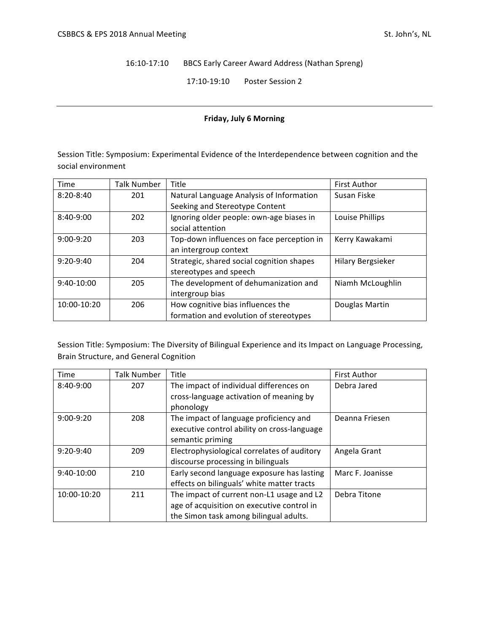16:10-17:10 BBCS Early Career Award Address (Nathan Spreng)

17:10-19:10 Poster Session 2

#### **Friday, July 6 Morning**

Session Title: Symposium: Experimental Evidence of the Interdependence between cognition and the social environment

| Time          | Talk Number | Title                                     | <b>First Author</b>      |
|---------------|-------------|-------------------------------------------|--------------------------|
| $8:20 - 8:40$ | 201         | Natural Language Analysis of Information  | Susan Fiske              |
|               |             | Seeking and Stereotype Content            |                          |
| $8:40-9:00$   | 202         | Ignoring older people: own-age biases in  | Louise Phillips          |
|               |             | social attention                          |                          |
| $9:00-9:20$   | 203         | Top-down influences on face perception in | Kerry Kawakami           |
|               |             | an intergroup context                     |                          |
| $9:20-9:40$   | 204         | Strategic, shared social cognition shapes | <b>Hilary Bergsieker</b> |
|               |             | stereotypes and speech                    |                          |
| 9:40-10:00    | 205         | The development of dehumanization and     | Niamh McLoughlin         |
|               |             | intergroup bias                           |                          |
| 10:00-10:20   | 206         | How cognitive bias influences the         | Douglas Martin           |
|               |             | formation and evolution of stereotypes    |                          |

Session Title: Symposium: The Diversity of Bilingual Experience and its Impact on Language Processing, Brain Structure, and General Cognition

| Time        | Talk Number | Title                                       | <b>First Author</b> |
|-------------|-------------|---------------------------------------------|---------------------|
| 8:40-9:00   | 207         | The impact of individual differences on     | Debra Jared         |
|             |             | cross-language activation of meaning by     |                     |
|             |             | phonology                                   |                     |
| $9:00-9:20$ | 208         | The impact of language proficiency and      | Deanna Friesen      |
|             |             | executive control ability on cross-language |                     |
|             |             | semantic priming                            |                     |
| $9:20-9:40$ | 209         | Electrophysiological correlates of auditory | Angela Grant        |
|             |             | discourse processing in bilinguals          |                     |
| 9:40-10:00  | 210         | Early second language exposure has lasting  | Marc F. Joanisse    |
|             |             | effects on bilinguals' white matter tracts  |                     |
| 10:00-10:20 | 211         | The impact of current non-L1 usage and L2   | Debra Titone        |
|             |             | age of acquisition on executive control in  |                     |
|             |             | the Simon task among bilingual adults.      |                     |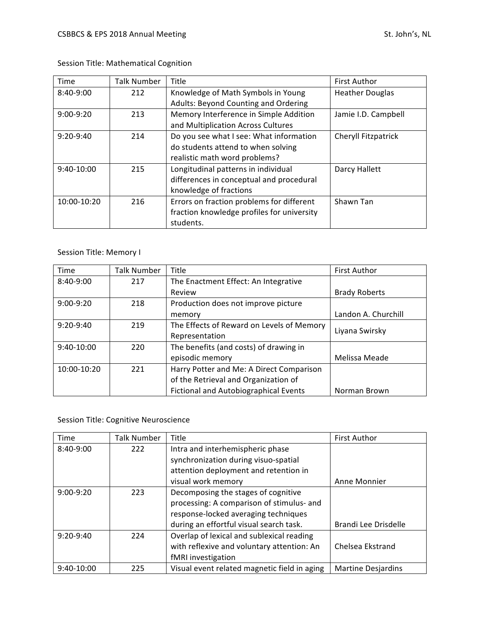| <b>Time</b> | Talk Number | Title                                      | <b>First Author</b>    |
|-------------|-------------|--------------------------------------------|------------------------|
| 8:40-9:00   | 212         | Knowledge of Math Symbols in Young         | <b>Heather Douglas</b> |
|             |             | Adults: Beyond Counting and Ordering       |                        |
| $9:00-9:20$ | 213         | Memory Interference in Simple Addition     | Jamie I.D. Campbell    |
|             |             | and Multiplication Across Cultures         |                        |
| $9:20-9:40$ | 214         | Do you see what I see: What information    | Cheryll Fitzpatrick    |
|             |             | do students attend to when solving         |                        |
|             |             | realistic math word problems?              |                        |
| 9:40-10:00  | 215         | Longitudinal patterns in individual        | Darcy Hallett          |
|             |             | differences in conceptual and procedural   |                        |
|             |             | knowledge of fractions                     |                        |
| 10:00-10:20 | 216         | Errors on fraction problems for different  | Shawn Tan              |
|             |             | fraction knowledge profiles for university |                        |
|             |             | students.                                  |                        |

Session Title: Mathematical Cognition

# Session Title: Memory I

| Time         | <b>Talk Number</b> | Title                                        | <b>First Author</b>  |
|--------------|--------------------|----------------------------------------------|----------------------|
| 8:40-9:00    | 217                | The Enactment Effect: An Integrative         |                      |
|              |                    | Review                                       | <b>Brady Roberts</b> |
| $9:00-9:20$  | 218                | Production does not improve picture          |                      |
|              |                    | memory                                       | Landon A. Churchill  |
| $9:20-9:40$  | 219                | The Effects of Reward on Levels of Memory    | Liyana Swirsky       |
|              |                    | Representation                               |                      |
| $9:40-10:00$ | 220                | The benefits (and costs) of drawing in       |                      |
|              |                    | episodic memory                              | Melissa Meade        |
| 10:00-10:20  | 221                | Harry Potter and Me: A Direct Comparison     |                      |
|              |                    | of the Retrieval and Organization of         |                      |
|              |                    | <b>Fictional and Autobiographical Events</b> | Norman Brown         |

Session Title: Cognitive Neuroscience

| Time         | Talk Number | Title                                        | <b>First Author</b>       |
|--------------|-------------|----------------------------------------------|---------------------------|
| 8:40-9:00    | 222         | Intra and interhemispheric phase             |                           |
|              |             | synchronization during visuo-spatial         |                           |
|              |             | attention deployment and retention in        |                           |
|              |             | visual work memory                           | Anne Monnier              |
| $9:00-9:20$  | 223         | Decomposing the stages of cognitive          |                           |
|              |             | processing: A comparison of stimulus- and    |                           |
|              |             | response-locked averaging techniques         |                           |
|              |             | during an effortful visual search task.      | Brandi Lee Drisdelle      |
| $9:20-9:40$  | 224         | Overlap of lexical and sublexical reading    |                           |
|              |             | with reflexive and voluntary attention: An   | Chelsea Ekstrand          |
|              |             | fMRI investigation                           |                           |
| $9:40-10:00$ | 225         | Visual event related magnetic field in aging | <b>Martine Desjardins</b> |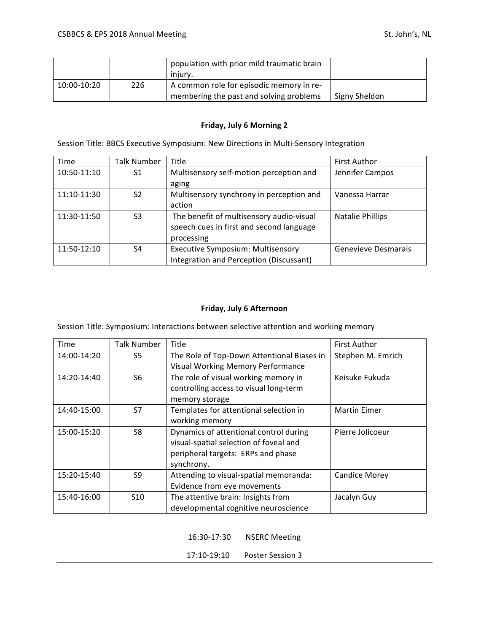|             |     | population with prior mild traumatic brain<br>iniurv.                               |               |
|-------------|-----|-------------------------------------------------------------------------------------|---------------|
| 10:00-10:20 | 226 | A common role for episodic memory in re-<br>membering the past and solving problems | Signy Sheldon |

#### **Friday, July 6 Morning 2**

Session Title: BBCS Executive Symposium: New Directions in Multi-Sensory Integration

| Time        | Talk Number    | Title                                    | <b>First Author</b> |
|-------------|----------------|------------------------------------------|---------------------|
| 10:50-11:10 | S1             | Multisensory self-motion perception and  | Jennifer Campos     |
|             |                | aging                                    |                     |
| 11:10-11:30 | S <sub>2</sub> | Multisensory synchrony in perception and | Vanessa Harrar      |
|             |                | action                                   |                     |
| 11:30-11:50 | S <sub>3</sub> | The benefit of multisensory audio-visual | Natalie Phillips    |
|             |                | speech cues in first and second language |                     |
|             |                | processing                               |                     |
| 11:50-12:10 | S <sub>4</sub> | <b>Executive Symposium: Multisensory</b> | Genevieve Desmarais |
|             |                | Integration and Perception (Discussant)  |                     |

## **Friday, July 6 Afternoon**

Session Title: Symposium: Interactions between selective attention and working memory

| Time        | <b>Talk Number</b> | Title                                      | <b>First Author</b>  |
|-------------|--------------------|--------------------------------------------|----------------------|
| 14:00-14:20 | S5                 | The Role of Top-Down Attentional Biases in | Stephen M. Emrich    |
|             |                    | <b>Visual Working Memory Performance</b>   |                      |
| 14:20-14:40 | S6                 | The role of visual working memory in       | Keisuke Fukuda       |
|             |                    | controlling access to visual long-term     |                      |
|             |                    | memory storage                             |                      |
| 14:40-15:00 | S7                 | Templates for attentional selection in     | <b>Martin Eimer</b>  |
|             |                    | working memory                             |                      |
| 15:00-15:20 | S8                 | Dynamics of attentional control during     | Pierre Jolicoeur     |
|             |                    | visual-spatial selection of foveal and     |                      |
|             |                    | peripheral targets: ERPs and phase         |                      |
|             |                    | synchrony.                                 |                      |
| 15:20-15:40 | S <sub>9</sub>     | Attending to visual-spatial memoranda:     | <b>Candice Morey</b> |
|             |                    | Evidence from eye movements                |                      |
| 15:40-16:00 | <b>S10</b>         | The attentive brain: Insights from         | Jacalyn Guy          |
|             |                    | developmental cognitive neuroscience       |                      |

16:30-17:30 NSERC Meeting

17:10-19:10 Poster Session 3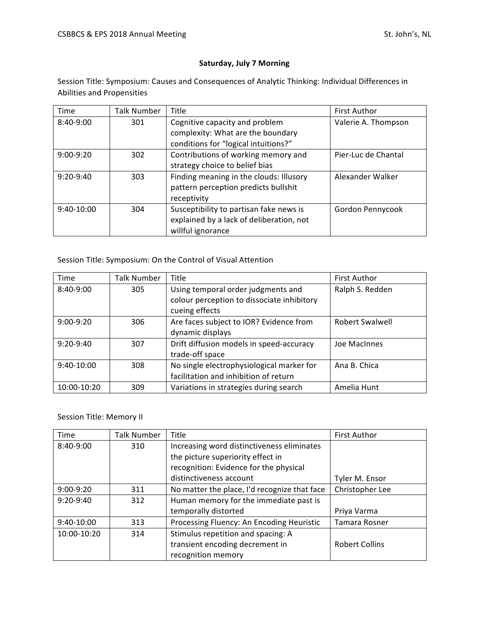# **Saturday, July 7 Morning**

Session Title: Symposium: Causes and Consequences of Analytic Thinking: Individual Differences in Abilities and Propensities

| Time         | Talk Number | Title                                    | <b>First Author</b> |
|--------------|-------------|------------------------------------------|---------------------|
| $8:40-9:00$  | 301         | Cognitive capacity and problem           | Valerie A. Thompson |
|              |             | complexity: What are the boundary        |                     |
|              |             | conditions for "logical intuitions?"     |                     |
| $9:00-9:20$  | 302         | Contributions of working memory and      | Pier-Luc de Chantal |
|              |             | strategy choice to belief bias           |                     |
| $9:20-9:40$  | 303         | Finding meaning in the clouds: Illusory  | Alexander Walker    |
|              |             | pattern perception predicts bullshit     |                     |
|              |             | receptivity                              |                     |
| $9:40-10:00$ | 304         | Susceptibility to partisan fake news is  | Gordon Pennycook    |
|              |             | explained by a lack of deliberation, not |                     |
|              |             | willful ignorance                        |                     |

### Session Title: Symposium: On the Control of Visual Attention

| <b>Time</b>  | Talk Number | Title                                      | <b>First Author</b>    |
|--------------|-------------|--------------------------------------------|------------------------|
| 8:40-9:00    | 305         | Using temporal order judgments and         | Ralph S. Redden        |
|              |             | colour perception to dissociate inhibitory |                        |
|              |             | cueing effects                             |                        |
| $9:00-9:20$  | 306         | Are faces subject to IOR? Evidence from    | <b>Robert Swalwell</b> |
|              |             | dynamic displays                           |                        |
| $9:20-9:40$  | 307         | Drift diffusion models in speed-accuracy   | Joe MacInnes           |
|              |             | trade-off space                            |                        |
| $9:40-10:00$ | 308         | No single electrophysiological marker for  | Ana B. Chica           |
|              |             | facilitation and inhibition of return      |                        |
| 10:00-10:20  | 309         | Variations in strategies during search     | Amelia Hunt            |

#### Session Title: Memory II

| Time        | <b>Talk Number</b> | Title                                        | <b>First Author</b>   |
|-------------|--------------------|----------------------------------------------|-----------------------|
| 8:40-9:00   | 310                | Increasing word distinctiveness eliminates   |                       |
|             |                    | the picture superiority effect in            |                       |
|             |                    | recognition: Evidence for the physical       |                       |
|             |                    | distinctiveness account                      | Tyler M. Ensor        |
| $9:00-9:20$ | 311                | No matter the place, I'd recognize that face | Christopher Lee       |
| $9:20-9:40$ | 312                | Human memory for the immediate past is       |                       |
|             |                    | temporally distorted                         | Priya Varma           |
| 9:40-10:00  | 313                | Processing Fluency: An Encoding Heuristic    | Tamara Rosner         |
| 10:00-10:20 | 314                | Stimulus repetition and spacing: A           |                       |
|             |                    | transient encoding decrement in              | <b>Robert Collins</b> |
|             |                    | recognition memory                           |                       |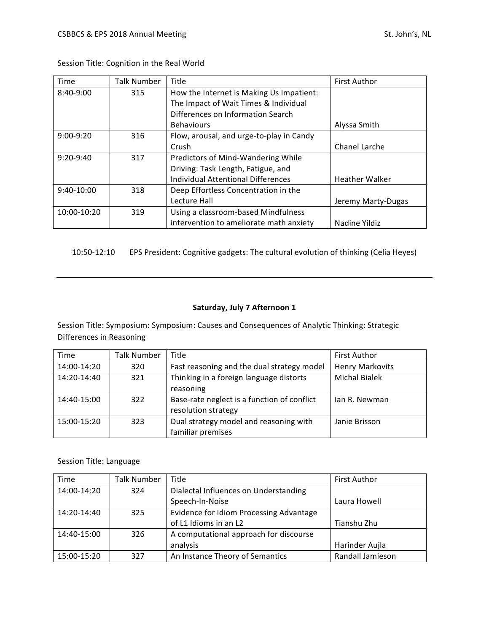| Time         | Talk Number | Title                                     | <b>First Author</b>   |
|--------------|-------------|-------------------------------------------|-----------------------|
| 8:40-9:00    | 315         | How the Internet is Making Us Impatient:  |                       |
|              |             | The Impact of Wait Times & Individual     |                       |
|              |             | Differences on Information Search         |                       |
|              |             | <b>Behaviours</b>                         | Alyssa Smith          |
| $9:00-9:20$  | 316         | Flow, arousal, and urge-to-play in Candy  |                       |
|              |             | Crush                                     | Chanel Larche         |
| $9:20-9:40$  | 317         | Predictors of Mind-Wandering While        |                       |
|              |             | Driving: Task Length, Fatigue, and        |                       |
|              |             | <b>Individual Attentional Differences</b> | <b>Heather Walker</b> |
| $9:40-10:00$ | 318         | Deep Effortless Concentration in the      |                       |
|              |             | Lecture Hall                              | Jeremy Marty-Dugas    |
| 10:00-10:20  | 319         | Using a classroom-based Mindfulness       |                       |
|              |             | intervention to ameliorate math anxiety   | Nadine Yildiz         |

Session Title: Cognition in the Real World

10:50-12:10 EPS President: Cognitive gadgets: The cultural evolution of thinking (Celia Heyes)

# **Saturday, July 7 Afternoon 1**

Session Title: Symposium: Symposium: Causes and Consequences of Analytic Thinking: Strategic Differences in Reasoning

| Time        | Talk Number | Title                                       | <b>First Author</b>    |
|-------------|-------------|---------------------------------------------|------------------------|
| 14:00-14:20 | 320         | Fast reasoning and the dual strategy model  | <b>Henry Markovits</b> |
| 14:20-14:40 | 321         | Thinking in a foreign language distorts     | <b>Michal Bialek</b>   |
|             |             | reasoning                                   |                        |
| 14:40-15:00 | 322         | Base-rate neglect is a function of conflict | lan R. Newman          |
|             |             | resolution strategy                         |                        |
| 15:00-15:20 | 323         | Dual strategy model and reasoning with      | Janie Brisson          |
|             |             | familiar premises                           |                        |

Session Title: Language

| Time        | <b>Talk Number</b> | Title                                   | <b>First Author</b> |
|-------------|--------------------|-----------------------------------------|---------------------|
| 14:00-14:20 | 324                | Dialectal Influences on Understanding   |                     |
|             |                    | Speech-In-Noise                         | Laura Howell        |
| 14:20-14:40 | 325                | Evidence for Idiom Processing Advantage |                     |
|             |                    | of L1 Idioms in an L2                   | Tianshu Zhu         |
| 14:40-15:00 | 326                | A computational approach for discourse  |                     |
|             |                    | analysis                                | Harinder Aujla      |
| 15:00-15:20 | 327                | An Instance Theory of Semantics         | Randall Jamieson    |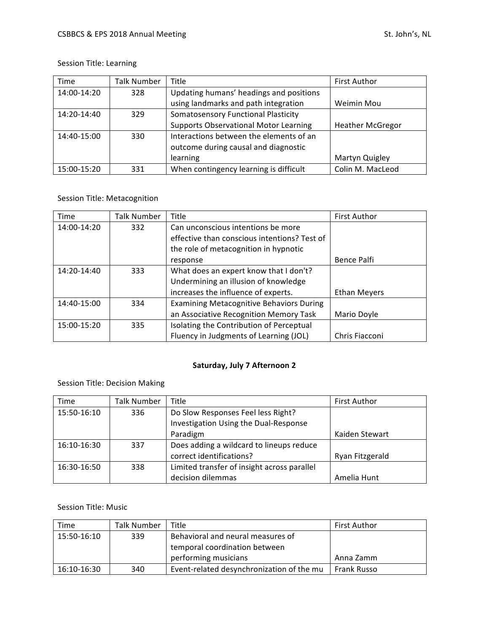# Session Title: Learning

| Time        | <b>Talk Number</b> | Title                                        | <b>First Author</b>     |
|-------------|--------------------|----------------------------------------------|-------------------------|
| 14:00-14:20 | 328                | Updating humans' headings and positions      |                         |
|             |                    | using landmarks and path integration         | Weimin Mou              |
| 14:20-14:40 | 329                | <b>Somatosensory Functional Plasticity</b>   |                         |
|             |                    | <b>Supports Observational Motor Learning</b> | <b>Heather McGregor</b> |
| 14:40-15:00 | 330                | Interactions between the elements of an      |                         |
|             |                    | outcome during causal and diagnostic         |                         |
|             |                    | learning                                     | Martyn Quigley          |
| 15:00-15:20 | 331                | When contingency learning is difficult       | Colin M. MacLeod        |

# Session Title: Metacognition

| Time        | <b>Talk Number</b> | Title                                           | First Author        |
|-------------|--------------------|-------------------------------------------------|---------------------|
| 14:00-14:20 | 332                | Can unconscious intentions be more              |                     |
|             |                    | effective than conscious intentions? Test of    |                     |
|             |                    | the role of metacognition in hypnotic           |                     |
|             |                    | response                                        | Bence Palfi         |
| 14:20-14:40 | 333                | What does an expert know that I don't?          |                     |
|             |                    | Undermining an illusion of knowledge            |                     |
|             |                    | increases the influence of experts.             | <b>Ethan Meyers</b> |
| 14:40-15:00 | 334                | <b>Examining Metacognitive Behaviors During</b> |                     |
|             |                    | an Associative Recognition Memory Task          | Mario Doyle         |
| 15:00-15:20 | 335                | Isolating the Contribution of Perceptual        |                     |
|             |                    | Fluency in Judgments of Learning (JOL)          | Chris Fiacconi      |

# **Saturday, July 7 Afternoon 2**

# Session Title: Decision Making

| Time        | Talk Number | <b>Title</b>                                | <b>First Author</b> |
|-------------|-------------|---------------------------------------------|---------------------|
| 15:50-16:10 | 336         | Do Slow Responses Feel less Right?          |                     |
|             |             | Investigation Using the Dual-Response       |                     |
|             |             | Paradigm                                    | Kaiden Stewart      |
| 16:10-16:30 | 337         | Does adding a wildcard to lineups reduce    |                     |
|             |             | correct identifications?                    | Ryan Fitzgerald     |
| 16:30-16:50 | 338         | Limited transfer of insight across parallel |                     |
|             |             | decision dilemmas                           | Amelia Hunt         |

## Session Title: Music

| Time        | Talk Number | Title                                     | <b>First Author</b> |
|-------------|-------------|-------------------------------------------|---------------------|
| 15:50-16:10 | 339         | Behavioral and neural measures of         |                     |
|             |             | temporal coordination between             |                     |
|             |             | performing musicians                      | Anna Zamm           |
| 16:10-16:30 | 340         | Event-related desynchronization of the mu | Frank Russo         |